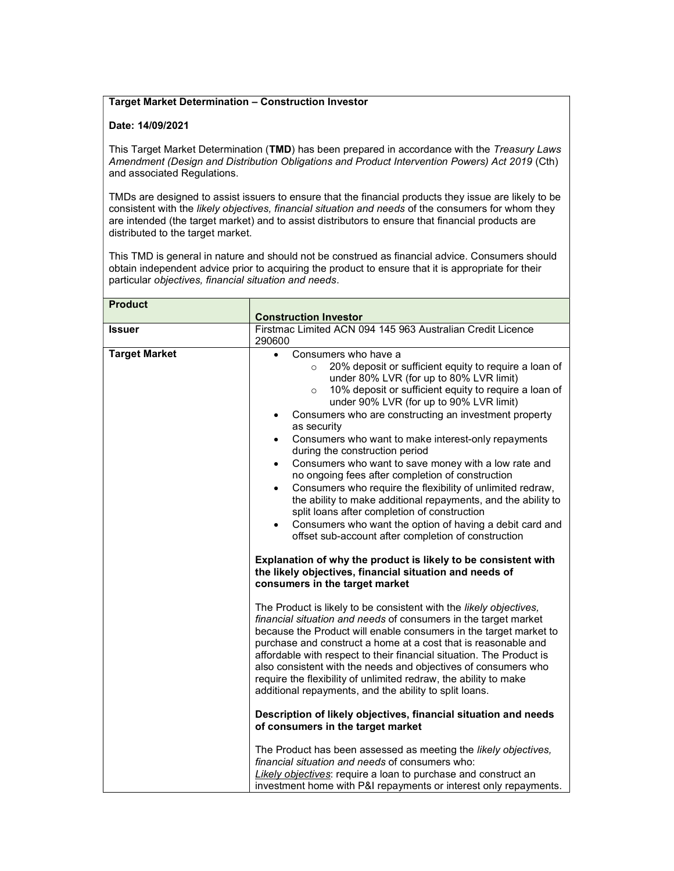## Target Market Determination – Construction Investor

## Date: 14/09/2021

This Target Market Determination (TMD) has been prepared in accordance with the Treasury Laws Amendment (Design and Distribution Obligations and Product Intervention Powers) Act 2019 (Cth) and associated Regulations.

TMDs are designed to assist issuers to ensure that the financial products they issue are likely to be consistent with the likely objectives, financial situation and needs of the consumers for whom they are intended (the target market) and to assist distributors to ensure that financial products are distributed to the target market.

This TMD is general in nature and should not be construed as financial advice. Consumers should obtain independent advice prior to acquiring the product to ensure that it is appropriate for their particular objectives, financial situation and needs.

| <b>Product</b>       | <b>Construction Investor</b>                                                                                                                                                                                                                                                                                                                                                                                                                                                                                                                                                                                                                                                                                                                                                                                                                                                                                                                                                                                                                                                                                                                                                                                                                                                                                                                                                                                                                                                                                                                                                                                                                                                                                                                                                                         |
|----------------------|------------------------------------------------------------------------------------------------------------------------------------------------------------------------------------------------------------------------------------------------------------------------------------------------------------------------------------------------------------------------------------------------------------------------------------------------------------------------------------------------------------------------------------------------------------------------------------------------------------------------------------------------------------------------------------------------------------------------------------------------------------------------------------------------------------------------------------------------------------------------------------------------------------------------------------------------------------------------------------------------------------------------------------------------------------------------------------------------------------------------------------------------------------------------------------------------------------------------------------------------------------------------------------------------------------------------------------------------------------------------------------------------------------------------------------------------------------------------------------------------------------------------------------------------------------------------------------------------------------------------------------------------------------------------------------------------------------------------------------------------------------------------------------------------------|
| <b>Issuer</b>        | Firstmac Limited ACN 094 145 963 Australian Credit Licence<br>290600                                                                                                                                                                                                                                                                                                                                                                                                                                                                                                                                                                                                                                                                                                                                                                                                                                                                                                                                                                                                                                                                                                                                                                                                                                                                                                                                                                                                                                                                                                                                                                                                                                                                                                                                 |
| <b>Target Market</b> | Consumers who have a<br>$\bullet$<br>20% deposit or sufficient equity to require a loan of<br>$\circ$<br>under 80% LVR (for up to 80% LVR limit)<br>10% deposit or sufficient equity to require a loan of<br>$\circ$<br>under 90% LVR (for up to 90% LVR limit)<br>Consumers who are constructing an investment property<br>as security<br>Consumers who want to make interest-only repayments<br>$\bullet$<br>during the construction period<br>Consumers who want to save money with a low rate and<br>$\bullet$<br>no ongoing fees after completion of construction<br>Consumers who require the flexibility of unlimited redraw,<br>$\bullet$<br>the ability to make additional repayments, and the ability to<br>split loans after completion of construction<br>Consumers who want the option of having a debit card and<br>$\bullet$<br>offset sub-account after completion of construction<br>Explanation of why the product is likely to be consistent with<br>the likely objectives, financial situation and needs of<br>consumers in the target market<br>The Product is likely to be consistent with the likely objectives,<br>financial situation and needs of consumers in the target market<br>because the Product will enable consumers in the target market to<br>purchase and construct a home at a cost that is reasonable and<br>affordable with respect to their financial situation. The Product is<br>also consistent with the needs and objectives of consumers who<br>require the flexibility of unlimited redraw, the ability to make<br>additional repayments, and the ability to split loans.<br>Description of likely objectives, financial situation and needs<br>of consumers in the target market<br>The Product has been assessed as meeting the likely objectives, |
|                      | financial situation and needs of consumers who:<br>Likely objectives: require a loan to purchase and construct an<br>investment home with P&I repayments or interest only repayments.                                                                                                                                                                                                                                                                                                                                                                                                                                                                                                                                                                                                                                                                                                                                                                                                                                                                                                                                                                                                                                                                                                                                                                                                                                                                                                                                                                                                                                                                                                                                                                                                                |